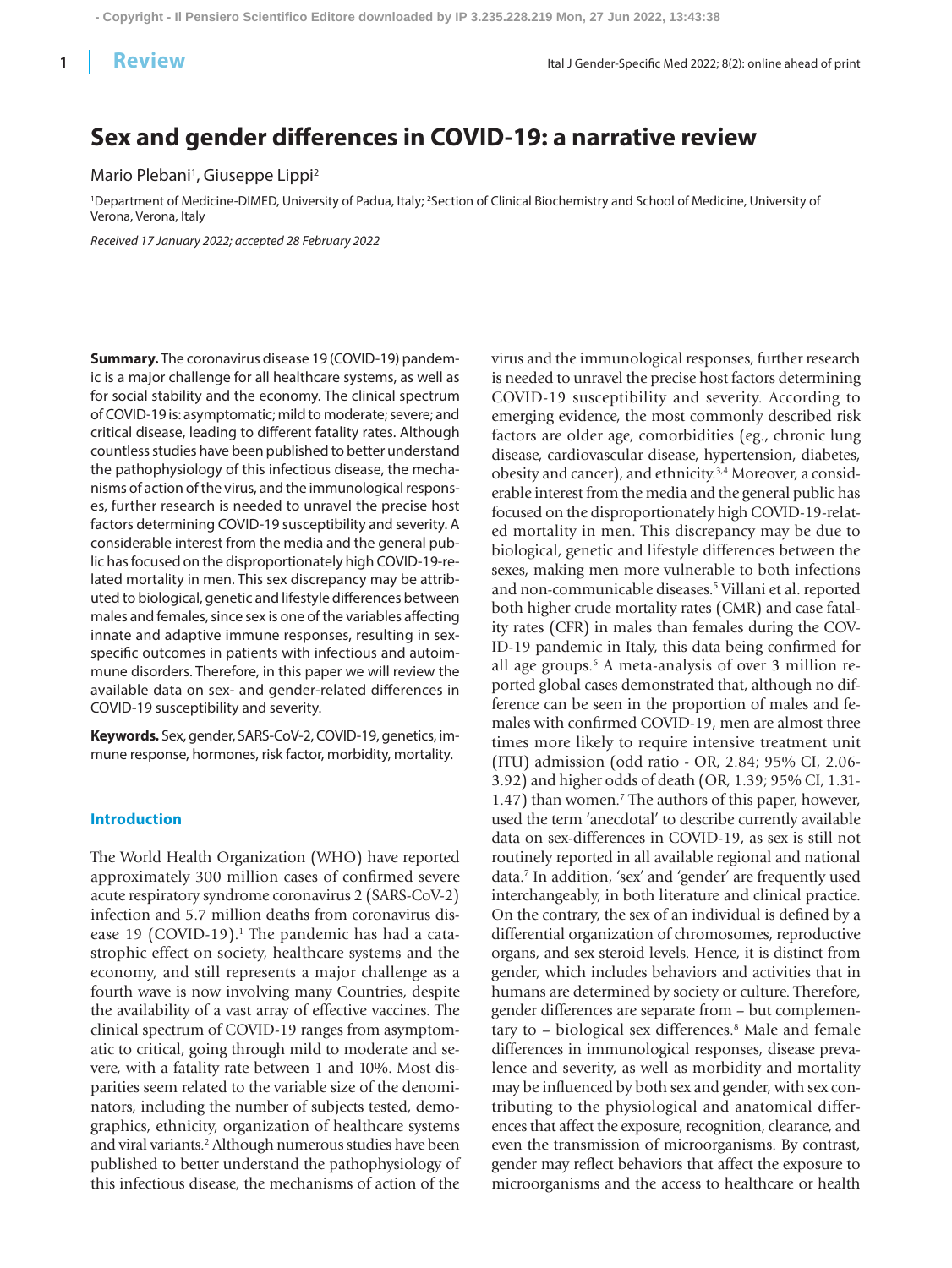# **Sex and gender differences in COVID-19: a narrative review**

## Mario Plebani<sup>1</sup>, Giuseppe Lippi<sup>2</sup>

<sup>1</sup>Department of Medicine-DIMED, University of Padua, Italy; <sup>2</sup>Section of Clinical Biochemistry and School of Medicine, University of Verona, Verona, Italy

*Received 17 January 2022; accepted 28 February 2022*

**Summary.** The coronavirus disease 19 (COVID-19) pandemic is a major challenge for all healthcare systems, as well as for social stability and the economy. The clinical spectrum of COVID-19 is: asymptomatic; mild to moderate; severe; and critical disease, leading to different fatality rates. Although countless studies have been published to better understand the pathophysiology of this infectious disease, the mechanisms of action of the virus, and the immunological responses, further research is needed to unravel the precise host factors determining COVID-19 susceptibility and severity. A considerable interest from the media and the general public has focused on the disproportionately high COVID-19-related mortality in men. This sex discrepancy may be attributed to biological, genetic and lifestyle differences between males and females, since sex is one of the variables affecting innate and adaptive immune responses, resulting in sexspecific outcomes in patients with infectious and autoimmune disorders. Therefore, in this paper we will review the available data on sex- and gender-related differences in COVID-19 susceptibility and severity.

**Keywords***.* Sex, gender, SARS-CoV-2, COVID-19, genetics, immune response, hormones, risk factor, morbidity, mortality.

#### **Introduction**

The World Health Organization (WHO) have reported approximately 300 million cases of confirmed severe acute respiratory syndrome coronavirus 2 (SARS-CoV-2) infection and 5.7 million deaths from coronavirus disease 19 (COVID-19).<sup>1</sup> The pandemic has had a catastrophic effect on society, healthcare systems and the economy, and still represents a major challenge as a fourth wave is now involving many Countries, despite the availability of a vast array of effective vaccines. The clinical spectrum of COVID-19 ranges from asymptomatic to critical, going through mild to moderate and severe, with a fatality rate between 1 and 10%. Most disparities seem related to the variable size of the denominators, including the number of subjects tested, demographics, ethnicity, organization of healthcare systems and viral variants.2 Although numerous studies have been published to better understand the pathophysiology of this infectious disease, the mechanisms of action of the

virus and the immunological responses, further research is needed to unravel the precise host factors determining COVID-19 susceptibility and severity. According to emerging evidence, the most commonly described risk factors are older age, comorbidities (eg., chronic lung disease, cardiovascular disease, hypertension, diabetes, obesity and cancer), and ethnicity.3,4 Moreover, a considerable interest from the media and the general public has focused on the disproportionately high COVID-19-related mortality in men. This discrepancy may be due to biological, genetic and lifestyle differences between the sexes, making men more vulnerable to both infections and non-communicable diseases.5 Villani et al. reported both higher crude mortality rates (CMR) and case fatality rates (CFR) in males than females during the COV-ID-19 pandemic in Italy, this data being confirmed for all age groups.6 A meta-analysis of over 3 million reported global cases demonstrated that, although no difference can be seen in the proportion of males and females with confirmed COVID-19, men are almost three times more likely to require intensive treatment unit (ITU) admission (odd ratio - OR, 2.84; 95% CI, 2.06- 3.92) and higher odds of death (OR, 1.39; 95% CI, 1.31- 1.47) than women.7 The authors of this paper, however, used the term 'anecdotal' to describe currently available data on sex-differences in COVID-19, as sex is still not routinely reported in all available regional and national data.7 In addition, 'sex' and 'gender' are frequently used interchangeably, in both literature and clinical practice. On the contrary, the sex of an individual is defined by a differential organization of chromosomes, reproductive organs, and sex steroid levels. Hence, it is distinct from gender, which includes behaviors and activities that in humans are determined by society or culture. Therefore, gender differences are separate from – but complementary to - biological sex differences.<sup>8</sup> Male and female differences in immunological responses, disease prevalence and severity, as well as morbidity and mortality may be influenced by both sex and gender, with sex contributing to the physiological and anatomical differences that affect the exposure, recognition, clearance, and even the transmission of microorganisms. By contrast, gender may reflect behaviors that affect the exposure to microorganisms and the access to healthcare or health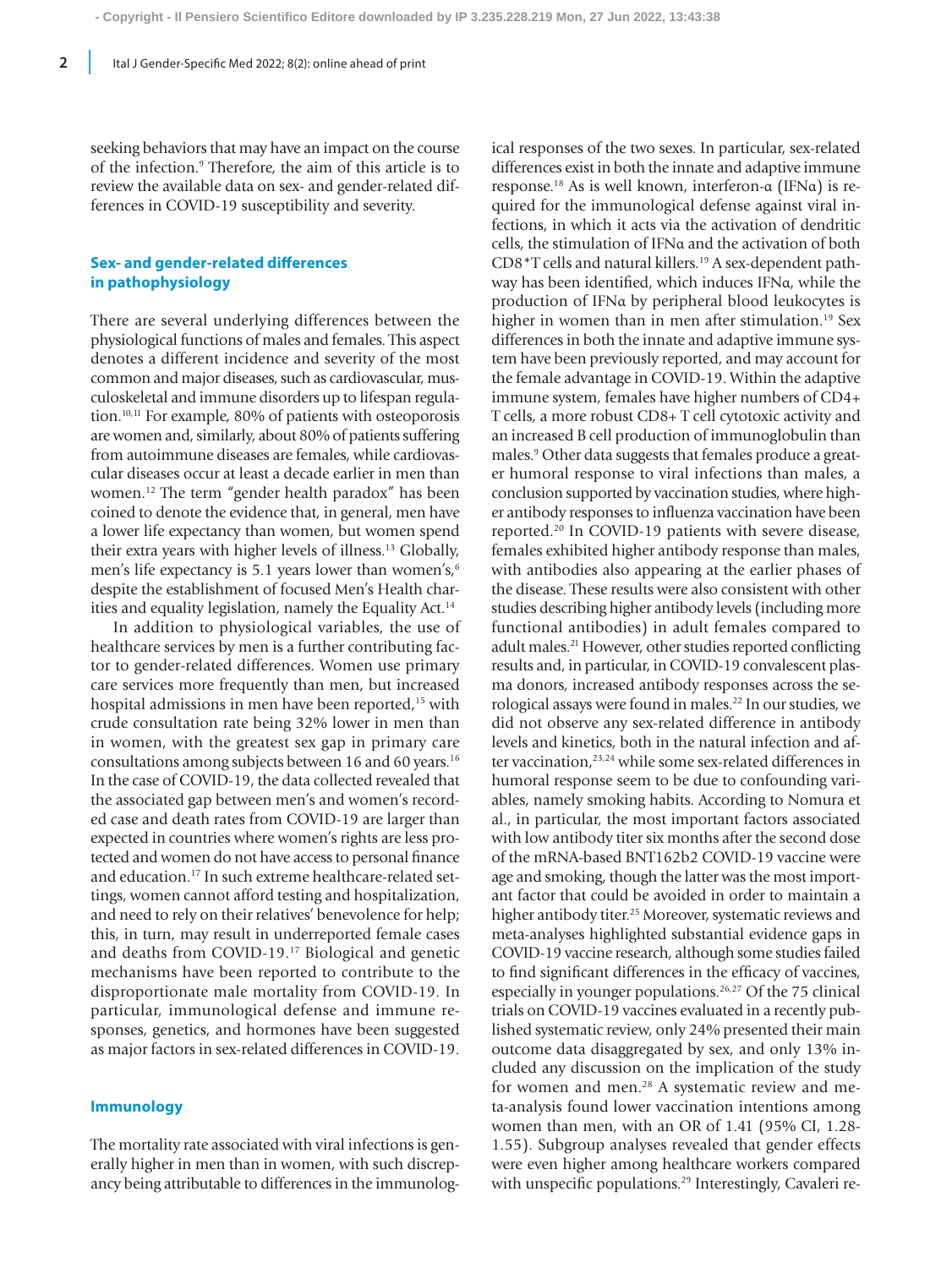seeking behaviors that may have an impact on the course of the infection.9 Therefore, the aim of this article is to review the available data on sex- and gender-related differences in COVID-19 susceptibility and severity.

## **Sex- and gender-related differences in pathophysiology**

There are several underlying differences between the physiological functions of males and females. This aspect denotes a different incidence and severity of the most common and major diseases, such as cardiovascular, musculoskeletal and immune disorders up to lifespan regulation.10,11 For example, 80% of patients with osteoporosis are women and, similarly, about 80% of patients suffering from autoimmune diseases are females, while cardiovascular diseases occur at least a decade earlier in men than women.12 The term "gender health paradox" has been coined to denote the evidence that, in general, men have a lower life expectancy than women, but women spend their extra years with higher levels of illness.13 Globally, men's life expectancy is 5.1 years lower than women's,<sup>6</sup> despite the establishment of focused Men's Health charities and equality legislation, namely the Equality Act.<sup>14</sup>

In addition to physiological variables, the use of healthcare services by men is a further contributing factor to gender-related differences. Women use primary care services more frequently than men, but increased hospital admissions in men have been reported,<sup>15</sup> with crude consultation rate being 32% lower in men than in women, with the greatest sex gap in primary care consultations among subjects between 16 and 60 years.<sup>16</sup> In the case of COVID-19, the data collected revealed that the associated gap between men's and women's recorded case and death rates from COVID-19 are larger than expected in countries where women's rights are less protected and women do not have access to personal finance and education.17 In such extreme healthcare-related settings, women cannot afford testing and hospitalization, and need to rely on their relatives' benevolence for help; this, in turn, may result in underreported female cases and deaths from COVID-19.17 Biological and genetic mechanisms have been reported to contribute to the disproportionate male mortality from COVID-19. In particular, immunological defense and immune responses, genetics, and hormones have been suggested as major factors in sex-related differences in COVID-19.

#### **Immunology**

The mortality rate associated with viral infections is generally higher in men than in women, with such discrepancy being attributable to differences in the immunological responses of the two sexes. In particular, sex-related differences exist in both the innate and adaptive immune response.18 As is well known, interferon-α (IFNα) is required for the immunological defense against viral infections, in which it acts via the activation of dendritic cells, the stimulation of IFNα and the activation of both CD8\*T cells and natural killers.19 A sex-dependent pathway has been identified, which induces IFNα, while the production of IFNα by peripheral blood leukocytes is higher in women than in men after stimulation.<sup>19</sup> Sex differences in both the innate and adaptive immune system have been previously reported, and may account for the female advantage in COVID-19. Within the adaptive immune system, females have higher numbers of CD4+ T cells, a more robust CD8+ T cell cytotoxic activity and an increased B cell production of immunoglobulin than males.<sup>9</sup> Other data suggests that females produce a greater humoral response to viral infections than males, a conclusion supported by vaccination studies, where higher antibody responses to influenza vaccination have been reported.20 In COVID-19 patients with severe disease, females exhibited higher antibody response than males, with antibodies also appearing at the earlier phases of the disease. These results were also consistent with other studies describing higher antibody levels (including more functional antibodies) in adult females compared to adult males.<sup>21</sup> However, other studies reported conflicting results and, in particular, in COVID-19 convalescent plasma donors, increased antibody responses across the serological assays were found in males.22 In our studies, we did not observe any sex-related difference in antibody levels and kinetics, both in the natural infection and after vaccination,<sup>23,24</sup> while some sex-related differences in humoral response seem to be due to confounding variables, namely smoking habits. According to Nomura et al., in particular, the most important factors associated with low antibody titer six months after the second dose of the mRNA-based BNT162b2 COVID-19 vaccine were age and smoking, though the latter was the most important factor that could be avoided in order to maintain a higher antibody titer.<sup>25</sup> Moreover, systematic reviews and meta-analyses highlighted substantial evidence gaps in COVID-19 vaccine research, although some studies failed to find significant differences in the efficacy of vaccines, especially in younger populations.26,27 Of the 75 clinical trials on COVID-19 vaccines evaluated in a recently published systematic review, only 24% presented their main outcome data disaggregated by sex, and only 13% included any discussion on the implication of the study for women and men.<sup>28</sup> A systematic review and meta-analysis found lower vaccination intentions among women than men, with an OR of 1.41 (95% CI, 1.28- 1.55). Subgroup analyses revealed that gender effects were even higher among healthcare workers compared with unspecific populations.<sup>29</sup> Interestingly, Cavaleri re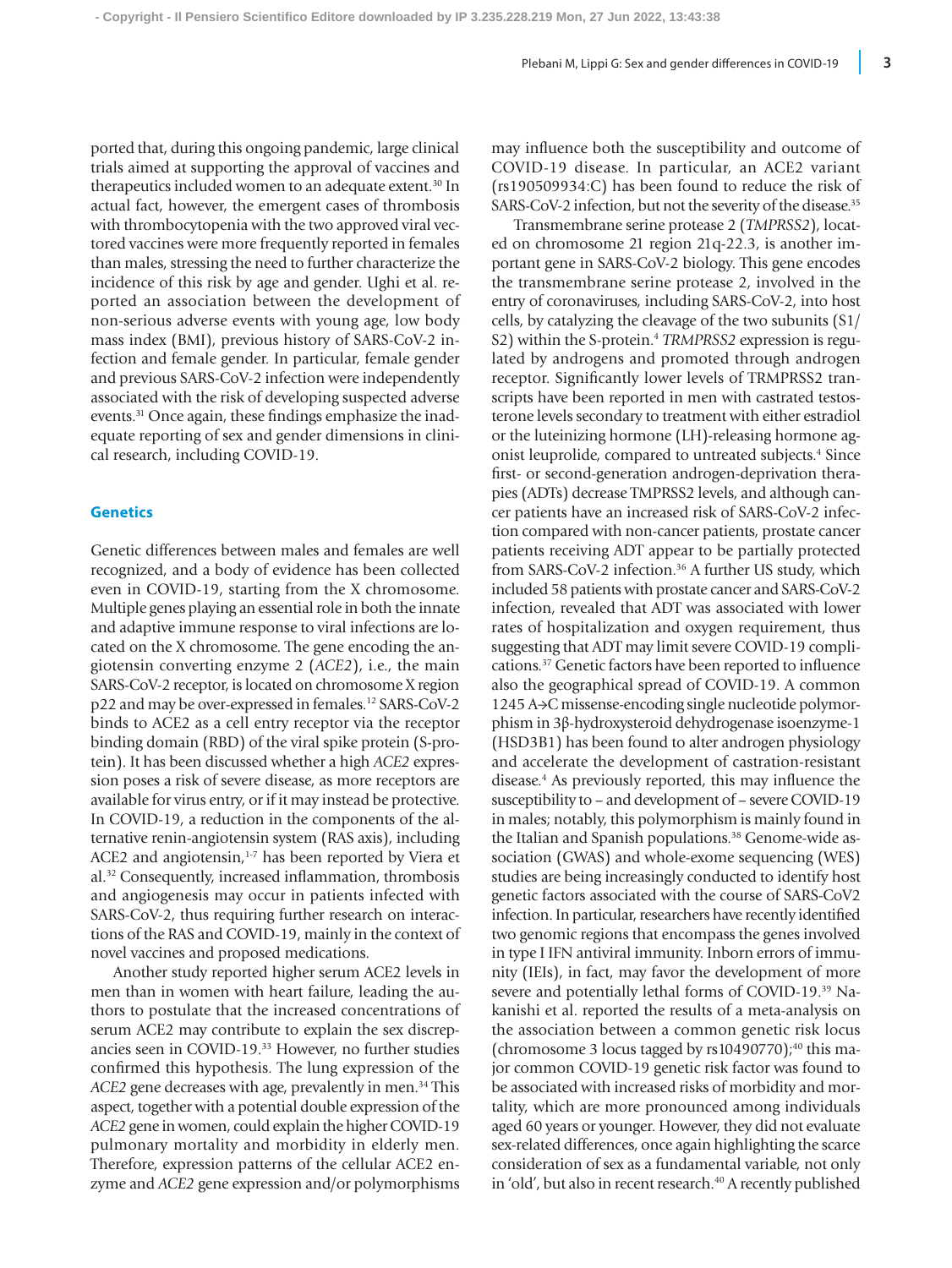ported that, during this ongoing pandemic, large clinical trials aimed at supporting the approval of vaccines and therapeutics included women to an adequate extent.<sup>30</sup> In actual fact, however, the emergent cases of thrombosis with thrombocytopenia with the two approved viral vectored vaccines were more frequently reported in females than males, stressing the need to further characterize the incidence of this risk by age and gender. Ughi et al. reported an association between the development of non-serious adverse events with young age, low body mass index (BMI), previous history of SARS-CoV-2 infection and female gender. In particular, female gender and previous SARS-CoV-2 infection were independently associated with the risk of developing suspected adverse events.<sup>31</sup> Once again, these findings emphasize the inadequate reporting of sex and gender dimensions in clinical research, including COVID-19.

#### **Genetics**

Genetic differences between males and females are well recognized, and a body of evidence has been collected even in COVID-19, starting from the X chromosome. Multiple genes playing an essential role in both the innate and adaptive immune response to viral infections are located on the X chromosome. The gene encoding the angiotensin converting enzyme 2 (*ACE2*), i.e., the main SARS-CoV-2 receptor, is located on chromosome X region p22 and may be over-expressed in females.12 SARS-CoV-2 binds to ACE2 as a cell entry receptor via the receptor binding domain (RBD) of the viral spike protein (S-protein). It has been discussed whether a high *ACE2* expression poses a risk of severe disease, as more receptors are available for virus entry, or if it may instead be protective. In COVID-19, a reduction in the components of the alternative renin-angiotensin system (RAS axis), including ACE2 and angiotensin,<sup>1-7</sup> has been reported by Viera et al.32 Consequently, increased inflammation, thrombosis and angiogenesis may occur in patients infected with SARS-CoV-2, thus requiring further research on interactions of the RAS and COVID-19, mainly in the context of novel vaccines and proposed medications.

Another study reported higher serum ACE2 levels in men than in women with heart failure, leading the authors to postulate that the increased concentrations of serum ACE2 may contribute to explain the sex discrepancies seen in COVID-19.33 However, no further studies confirmed this hypothesis. The lung expression of the *ACE2* gene decreases with age, prevalently in men.34 This aspect, together with a potential double expression of the *ACE2* gene in women, could explain the higher COVID-19 pulmonary mortality and morbidity in elderly men. Therefore, expression patterns of the cellular ACE2 enzyme and *ACE2* gene expression and/or polymorphisms

may influence both the susceptibility and outcome of COVID-19 disease. In particular, an ACE2 variant (rs190509934:C) has been found to reduce the risk of SARS-CoV-2 infection, but not the severity of the disease.<sup>35</sup>

Transmembrane serine protease 2 (*TMPRSS2*), located on chromosome 21 region 21q-22.3, is another important gene in SARS-CoV-2 biology. This gene encodes the transmembrane serine protease 2, involved in the entry of coronaviruses, including SARS-CoV-2, into host cells, by catalyzing the cleavage of the two subunits (S1/ S2) within the S-protein.4 *TRMPRSS2* expression is regulated by androgens and promoted through androgen receptor. Significantly lower levels of TRMPRSS2 transcripts have been reported in men with castrated testosterone levels secondary to treatment with either estradiol or the luteinizing hormone (LH)-releasing hormone agonist leuprolide, compared to untreated subjects.<sup>4</sup> Since first- or second-generation androgen-deprivation therapies (ADTs) decrease TMPRSS2 levels, and although cancer patients have an increased risk of SARS-CoV-2 infection compared with non-cancer patients, prostate cancer patients receiving ADT appear to be partially protected from SARS-CoV-2 infection.<sup>36</sup> A further US study, which included 58 patients with prostate cancer and SARS-CoV-2 infection, revealed that ADT was associated with lower rates of hospitalization and oxygen requirement, thus suggesting that ADT may limit severe COVID-19 complications.37 Genetic factors have been reported to influence also the geographical spread of COVID-19. A common 1245 A→C missense-encoding single nucleotide polymorphism in 3β-hydroxysteroid dehydrogenase isoenzyme-1 (HSD3B1) has been found to alter androgen physiology and accelerate the development of castration-resistant disease.4 As previously reported, this may influence the susceptibility to – and development of – severe COVID-19 in males; notably, this polymorphism is mainly found in the Italian and Spanish populations.<sup>38</sup> Genome-wide association (GWAS) and whole-exome sequencing (WES) studies are being increasingly conducted to identify host genetic factors associated with the course of SARS-CoV2 infection. In particular, researchers have recently identified two genomic regions that encompass the genes involved in type I IFN antiviral immunity. Inborn errors of immunity (IEIs), in fact, may favor the development of more severe and potentially lethal forms of COVID-19.39 Nakanishi et al. reported the results of a meta-analysis on the association between a common genetic risk locus (chromosome 3 locus tagged by  $rs10490770$ );<sup>40</sup> this major common COVID-19 genetic risk factor was found to be associated with increased risks of morbidity and mortality, which are more pronounced among individuals aged 60 years or younger. However, they did not evaluate sex-related differences, once again highlighting the scarce consideration of sex as a fundamental variable, not only in 'old', but also in recent research.<sup>40</sup> A recently published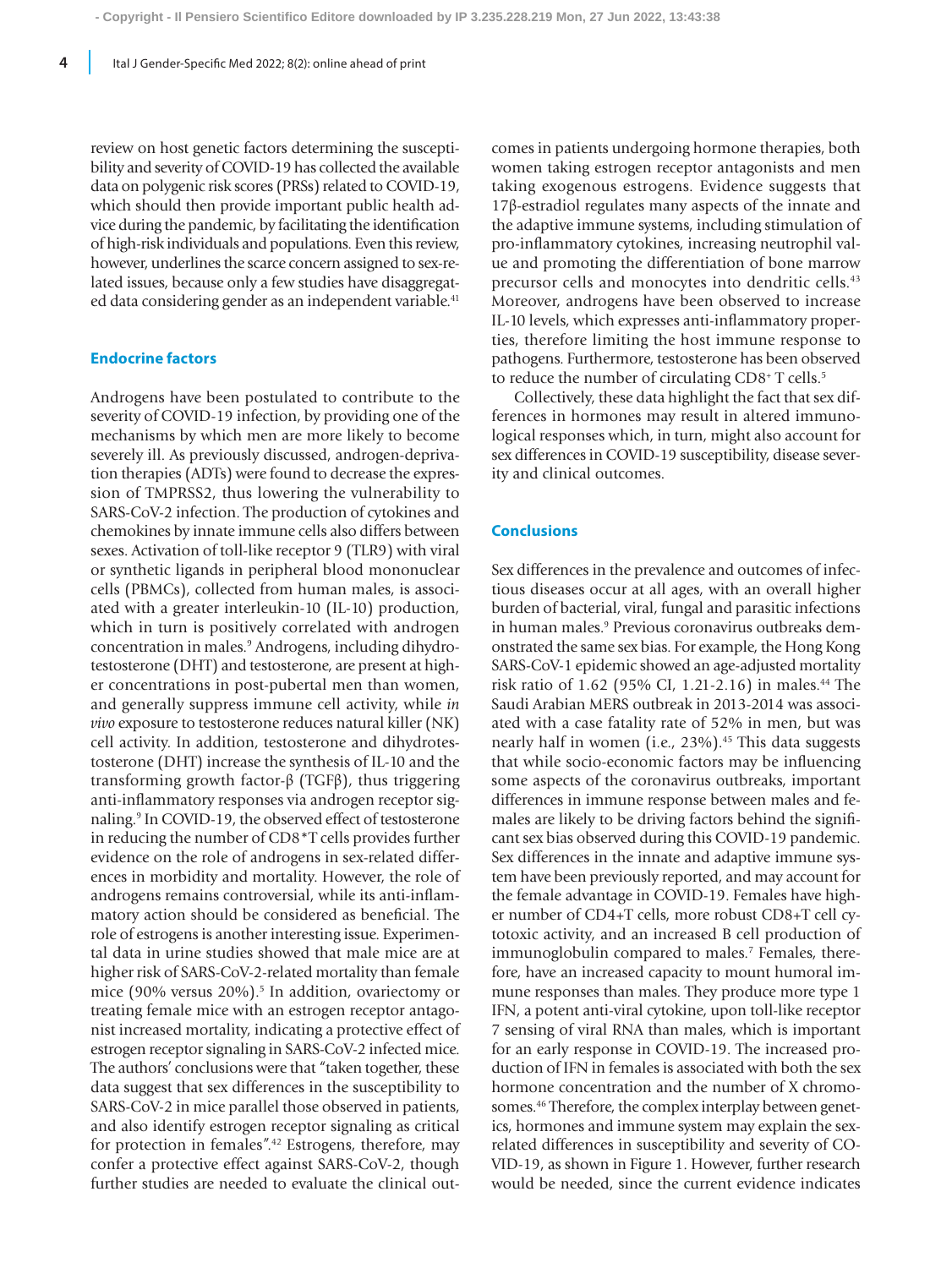review on host genetic factors determining the susceptibility and severity of COVID-19 has collected the available data on polygenic risk scores (PRSs) related to COVID-19, which should then provide important public health advice during the pandemic, by facilitating the identification of high-risk individuals and populations. Even this review, however, underlines the scarce concern assigned to sex-related issues, because only a few studies have disaggregated data considering gender as an independent variable.<sup>41</sup>

#### **Endocrine factors**

Androgens have been postulated to contribute to the severity of COVID-19 infection, by providing one of the mechanisms by which men are more likely to become severely ill. As previously discussed, androgen-deprivation therapies (ADTs) were found to decrease the expression of TMPRSS2, thus lowering the vulnerability to SARS-CoV-2 infection. The production of cytokines and chemokines by innate immune cells also differs between sexes. Activation of toll-like receptor 9 (TLR9) with viral or synthetic ligands in peripheral blood mononuclear cells (PBMCs), collected from human males, is associated with a greater interleukin-10 (IL-10) production, which in turn is positively correlated with androgen concentration in males.9 Androgens, including dihydrotestosterone (DHT) and testosterone, are present at higher concentrations in post-pubertal men than women, and generally suppress immune cell activity, while *in vivo* exposure to testosterone reduces natural killer (NK) cell activity. In addition, testosterone and dihydrotestosterone (DHT) increase the synthesis of IL-10 and the transforming growth factor-β (TGFβ), thus triggering anti-inflammatory responses via androgen receptor signaling.9 In COVID-19, the observed effect of testosterone in reducing the number of CD8\*T cells provides further evidence on the role of androgens in sex-related differences in morbidity and mortality. However, the role of androgens remains controversial, while its anti-inflammatory action should be considered as beneficial. The role of estrogens is another interesting issue. Experimental data in urine studies showed that male mice are at higher risk of SARS-CoV-2-related mortality than female mice (90% versus 20%).<sup>5</sup> In addition, ovariectomy or treating female mice with an estrogen receptor antagonist increased mortality, indicating a protective effect of estrogen receptor signaling in SARS-CoV-2 infected mice. The authors' conclusions were that "taken together, these data suggest that sex differences in the susceptibility to SARS-CoV-2 in mice parallel those observed in patients, and also identify estrogen receptor signaling as critical for protection in females".42 Estrogens, therefore, may confer a protective effect against SARS-CoV-2, though further studies are needed to evaluate the clinical outcomes in patients undergoing hormone therapies, both women taking estrogen receptor antagonists and men taking exogenous estrogens. Evidence suggests that 17β-estradiol regulates many aspects of the innate and the adaptive immune systems, including stimulation of pro-inflammatory cytokines, increasing neutrophil value and promoting the differentiation of bone marrow precursor cells and monocytes into dendritic cells.43 Moreover, androgens have been observed to increase IL-10 levels, which expresses anti-inflammatory properties, therefore limiting the host immune response to pathogens. Furthermore, testosterone has been observed to reduce the number of circulating CD8<sup>+</sup> T cells.<sup>5</sup>

Collectively, these data highlight the fact that sex differences in hormones may result in altered immunological responses which, in turn, might also account for sex differences in COVID-19 susceptibility, disease severity and clinical outcomes.

#### **Conclusions**

Sex differences in the prevalence and outcomes of infectious diseases occur at all ages, with an overall higher burden of bacterial, viral, fungal and parasitic infections in human males.<sup>9</sup> Previous coronavirus outbreaks demonstrated the same sex bias. For example, the Hong Kong SARS-CoV-1 epidemic showed an age-adjusted mortality risk ratio of 1.62 (95% CI, 1.21-2.16) in males.44 The Saudi Arabian MERS outbreak in 2013-2014 was associated with a case fatality rate of 52% in men, but was nearly half in women (i.e.,  $23\%$ ).<sup>45</sup> This data suggests that while socio-economic factors may be influencing some aspects of the coronavirus outbreaks, important differences in immune response between males and females are likely to be driving factors behind the significant sex bias observed during this COVID-19 pandemic. Sex differences in the innate and adaptive immune system have been previously reported, and may account for the female advantage in COVID-19. Females have higher number of CD4+T cells, more robust CD8+T cell cytotoxic activity, and an increased B cell production of immunoglobulin compared to males.<sup>7</sup> Females, therefore, have an increased capacity to mount humoral immune responses than males. They produce more type 1 IFN, a potent anti-viral cytokine, upon toll-like receptor 7 sensing of viral RNA than males, which is important for an early response in COVID-19. The increased production of IFN in females is associated with both the sex hormone concentration and the number of X chromosomes.<sup>46</sup> Therefore, the complex interplay between genetics, hormones and immune system may explain the sexrelated differences in susceptibility and severity of CO-VID-19, as shown in Figure 1. However, further research would be needed, since the current evidence indicates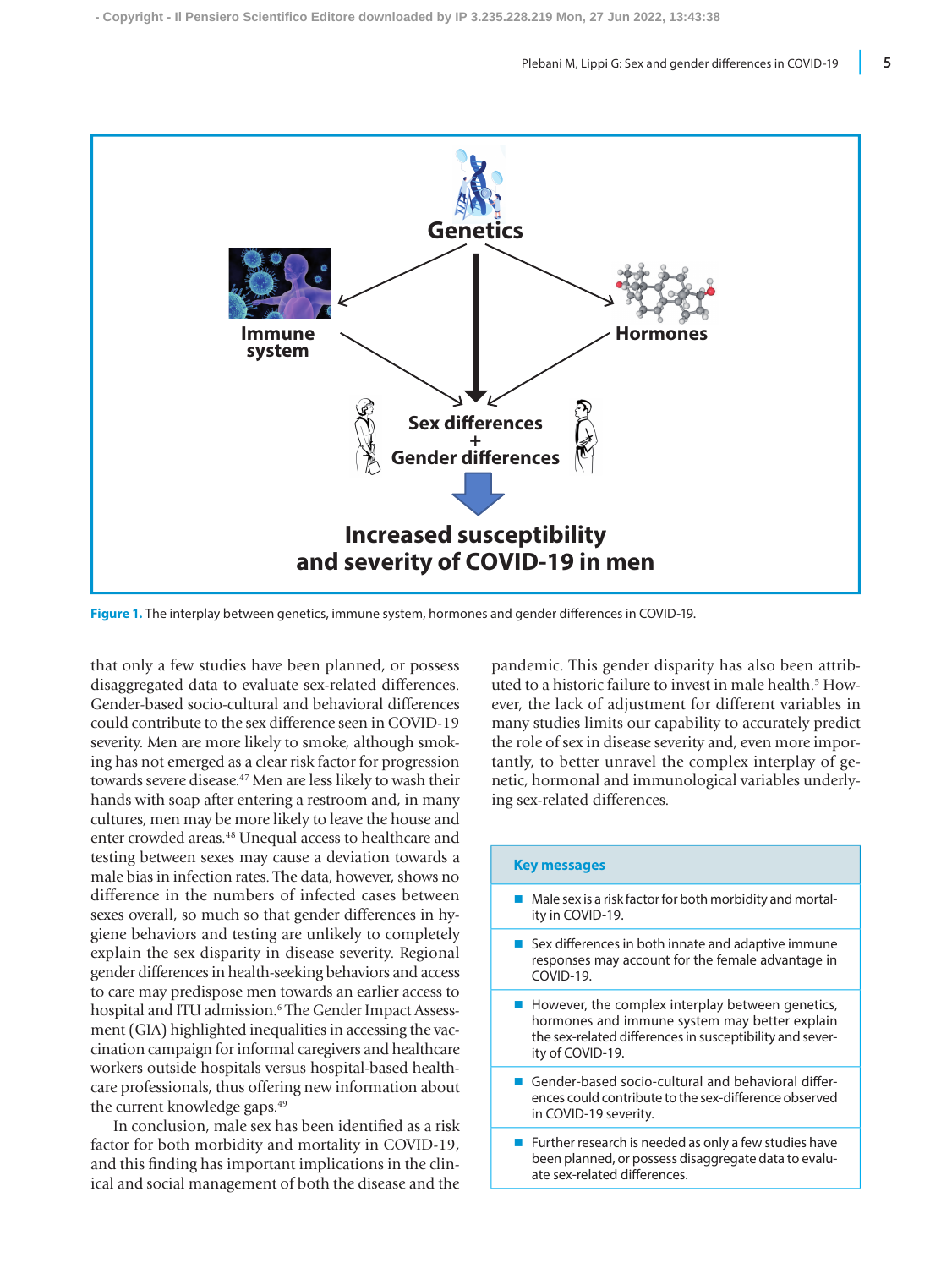

**Figure 1.** The interplay between genetics, immune system, hormones and gender differences in COVID-19.

that only a few studies have been planned, or possess disaggregated data to evaluate sex-related differences. Gender-based socio-cultural and behavioral differences could contribute to the sex difference seen in COVID-19 severity. Men are more likely to smoke, although smoking has not emerged as a clear risk factor for progression towards severe disease.<sup>47</sup> Men are less likely to wash their hands with soap after entering a restroom and, in many cultures, men may be more likely to leave the house and enter crowded areas.<sup>48</sup> Unequal access to healthcare and testing between sexes may cause a deviation towards a male bias in infection rates. The data, however, shows no difference in the numbers of infected cases between sexes overall, so much so that gender differences in hygiene behaviors and testing are unlikely to completely explain the sex disparity in disease severity. Regional gender differences in health-seeking behaviors and access to care may predispose men towards an earlier access to hospital and ITU admission.<sup>6</sup> The Gender Impact Assessment (GIA) highlighted inequalities in accessing the vaccination campaign for informal caregivers and healthcare workers outside hospitals versus hospital-based healthcare professionals, thus offering new information about the current knowledge gaps.<sup>49</sup>

In conclusion, male sex has been identified as a risk factor for both morbidity and mortality in COVID-19, and this finding has important implications in the clinical and social management of both the disease and the pandemic. This gender disparity has also been attributed to a historic failure to invest in male health.5 However, the lack of adjustment for different variables in many studies limits our capability to accurately predict the role of sex in disease severity and, even more importantly, to better unravel the complex interplay of genetic, hormonal and immunological variables underlying sex-related differences.

| <b>Key messages</b>                                                                                                                                                               |
|-----------------------------------------------------------------------------------------------------------------------------------------------------------------------------------|
| Male sex is a risk factor for both morbidity and mortal-<br>ity in COVID-19.                                                                                                      |
| Sex differences in both innate and adaptive immune<br>responses may account for the female advantage in<br>COVID-19.                                                              |
| However, the complex interplay between genetics,<br>hormones and immune system may better explain<br>the sex-related differences in susceptibility and sever-<br>ity of COVID-19. |
| Gender-based socio-cultural and behavioral differ-<br>ences could contribute to the sex-difference observed<br>in COVID-19 severity.                                              |
| Further research is needed as only a few studies have<br>been planned, or possess disaggregate data to evalu-<br>ate sex-related differences                                      |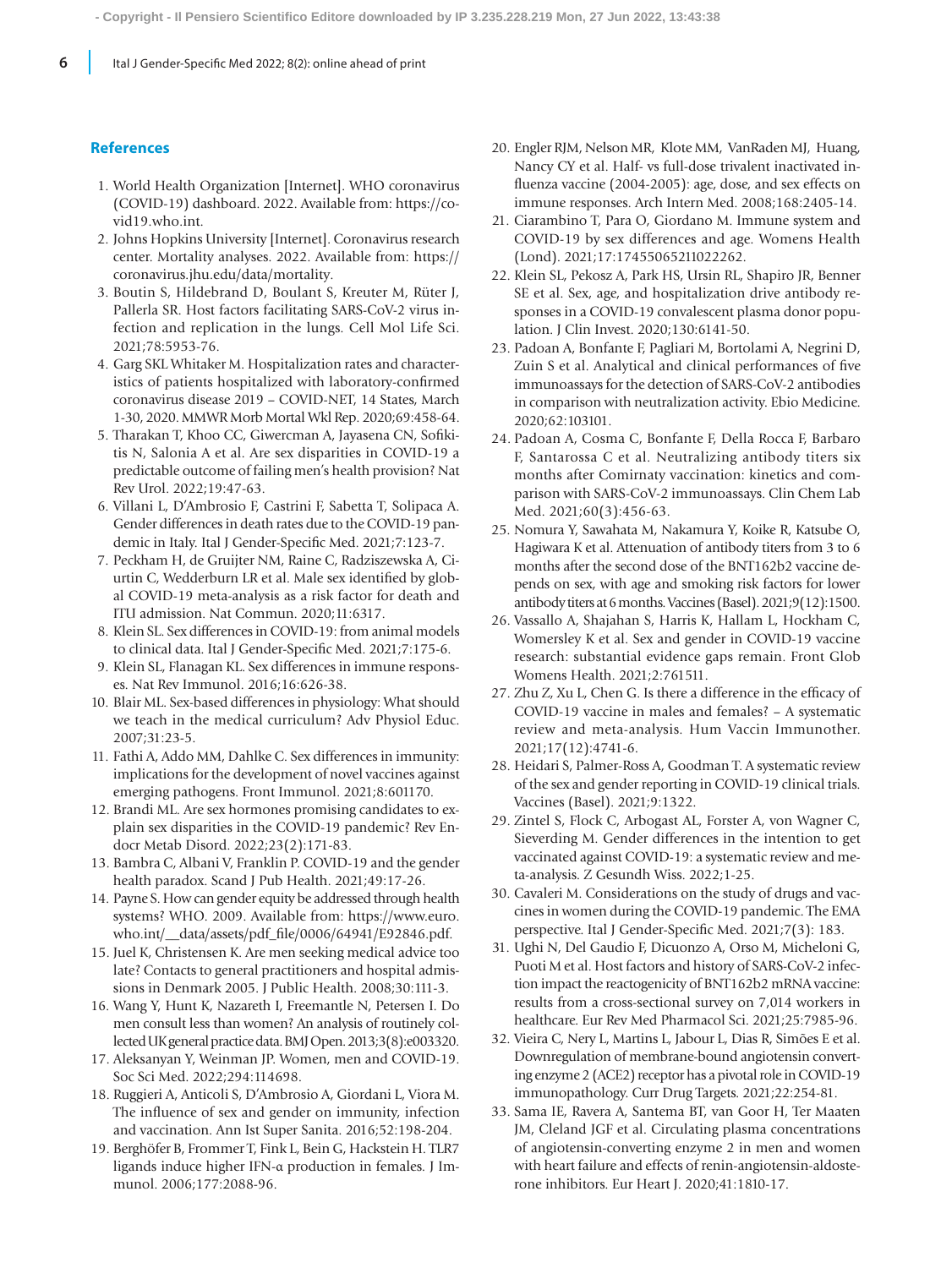### **References**

- 1. World Health Organization [Internet]. WHO coronavirus (COVID-19) dashboard. 2022. Available from: https://covid19.who.int.
- 2. Johns Hopkins University [Internet]. Coronavirus research center. Mortality analyses. 2022. Available from: https:// coronavirus.jhu.edu/data/mortality.
- 3. Boutin S, Hildebrand D, Boulant S, Kreuter M, Rüter J, Pallerla SR. Host factors facilitating SARS-CoV-2 virus infection and replication in the lungs. Cell Mol Life Sci. 2021;78:5953-76.
- 4. Garg SKL Whitaker M. Hospitalization rates and characteristics of patients hospitalized with laboratory-confirmed coronavirus disease 2019 – COVID-NET, 14 States, March 1-30, 2020. MMWR Morb Mortal Wkl Rep. 2020;69:458-64.
- 5. Tharakan T, Khoo CC, Giwercman A, Jayasena CN, Sofikitis N, Salonia A et al. Are sex disparities in COVID-19 a predictable outcome of failing men's health provision? Nat Rev Urol. 2022;19:47-63.
- 6. Villani L, D'Ambrosio F, Castrini F, Sabetta T, Solipaca A. Gender differences in death rates due to the COVID-19 pandemic in Italy. Ital J Gender-Specific Med. 2021;7:123-7.
- 7. Peckham H, de Gruijter NM, Raine C, Radziszewska A, Ciurtin C, Wedderburn LR et al. Male sex identified by global COVID-19 meta-analysis as a risk factor for death and ITU admission. Nat Commun. 2020;11:6317.
- 8. Klein SL. Sex differences in COVID-19: from animal models to clinical data. Ital J Gender-Specific Med. 2021;7:175-6.
- 9. Klein SL, Flanagan KL. Sex differences in immune responses. Nat Rev Immunol. 2016;16:626-38.
- 10. Blair ML. Sex-based differences in physiology: What should we teach in the medical curriculum? Adv Physiol Educ. 2007;31:23-5.
- 11. Fathi A, Addo MM, Dahlke C. Sex differences in immunity: implications for the development of novel vaccines against emerging pathogens. Front Immunol. 2021;8:601170.
- 12. Brandi ML. Are sex hormones promising candidates to explain sex disparities in the COVID-19 pandemic? Rev Endocr Metab Disord. 2022;23(2):171-83.
- 13. Bambra C, Albani V, Franklin P. COVID-19 and the gender health paradox. Scand J Pub Health. 2021;49:17-26.
- 14. Payne S. How can gender equity be addressed through health systems? WHO. 2009. Available from: https://www.euro. who.int/\_\_data/assets/pdf\_file/0006/64941/E92846.pdf.
- 15. Juel K, Christensen K. Are men seeking medical advice too late? Contacts to general practitioners and hospital admissions in Denmark 2005. J Public Health. 2008;30:111-3.
- 16. Wang Y, Hunt K, Nazareth I, Freemantle N, Petersen I. Do men consult less than women? An analysis of routinely collected UK general practice data. BMJ Open. 2013;3(8):e003320.
- 17. Aleksanyan Y, Weinman JP. Women, men and COVID-19. Soc Sci Med. 2022;294:114698.
- 18. Ruggieri A, Anticoli S, D'Ambrosio A, Giordani L, Viora M. The influence of sex and gender on immunity, infection and vaccination. Ann Ist Super Sanita. 2016;52:198-204.
- 19. Berghöfer B, Frommer T, Fink L, Bein G, Hackstein H. TLR7 ligands induce higher IFN-α production in females. J Immunol. 2006;177:2088-96.
- 20. Engler RJM, Nelson MR, Klote MM, VanRaden MJ, Huang, Nancy CY et al. Half- vs full-dose trivalent inactivated influenza vaccine (2004-2005): age, dose, and sex effects on immune responses. Arch Intern Med. 2008;168:2405-14.
- 21. Ciarambino T, Para O, Giordano M. Immune system and COVID-19 by sex differences and age. Womens Health (Lond). 2021;17:17455065211022262.
- 22. Klein SL, Pekosz A, Park HS, Ursin RL, Shapiro JR, Benner SE et al. Sex, age, and hospitalization drive antibody responses in a COVID-19 convalescent plasma donor population. J Clin Invest. 2020;130:6141-50.
- 23. Padoan A, Bonfante F, Pagliari M, Bortolami A, Negrini D, Zuin S et al. Analytical and clinical performances of five immunoassays for the detection of SARS-CoV-2 antibodies in comparison with neutralization activity. Ebio Medicine. 2020;62:103101.
- 24. Padoan A, Cosma C, Bonfante F, Della Rocca F, Barbaro F, Santarossa C et al. Neutralizing antibody titers six months after Comirnaty vaccination: kinetics and comparison with SARS-CoV-2 immunoassays. Clin Chem Lab Med. 2021;60(3):456-63.
- 25. Nomura Y, Sawahata M, Nakamura Y, Koike R, Katsube O, Hagiwara K et al. Attenuation of antibody titers from 3 to 6 months after the second dose of the BNT162b2 vaccine depends on sex, with age and smoking risk factors for lower antibody titers at 6 months. Vaccines (Basel). 2021;9(12):1500.
- 26. Vassallo A, Shajahan S, Harris K, Hallam L, Hockham C, Womersley K et al. Sex and gender in COVID-19 vaccine research: substantial evidence gaps remain. Front Glob Womens Health. 2021;2:761511.
- 27. Zhu Z, Xu L, Chen G. Is there a difference in the efficacy of COVID-19 vaccine in males and females? – A systematic review and meta-analysis. Hum Vaccin Immunother. 2021;17(12):4741-6.
- 28. Heidari S, Palmer-Ross A, Goodman T. A systematic review of the sex and gender reporting in COVID-19 clinical trials. Vaccines (Basel). 2021;9:1322.
- 29. Zintel S, Flock C, Arbogast AL, Forster A, von Wagner C, Sieverding M. Gender differences in the intention to get vaccinated against COVID-19: a systematic review and meta-analysis. Z Gesundh Wiss. 2022;1-25.
- 30. Cavaleri M. Considerations on the study of drugs and vaccines in women during the COVID-19 pandemic. The EMA perspective. Ital J Gender-Specific Med. 2021;7(3): 183.
- 31. Ughi N, Del Gaudio F, Dicuonzo A, Orso M, Micheloni G, Puoti M et al. Host factors and history of SARS-CoV-2 infection impact the reactogenicity of BNT162b2 mRNA vaccine: results from a cross-sectional survey on 7,014 workers in healthcare. Eur Rev Med Pharmacol Sci. 2021;25:7985-96.
- 32. Vieira C, Nery L, Martins L, Jabour L, Dias R, Simões E et al. Downregulation of membrane-bound angiotensin converting enzyme 2 (ACE2) receptor has a pivotal role in COVID-19 immunopathology. Curr Drug Targets. 2021;22:254-81.
- 33. Sama IE, Ravera A, Santema BT, van Goor H, Ter Maaten JM, Cleland JGF et al. Circulating plasma concentrations of angiotensin-converting enzyme 2 in men and women with heart failure and effects of renin-angiotensin-aldosterone inhibitors. Eur Heart J. 2020;41:1810-17.